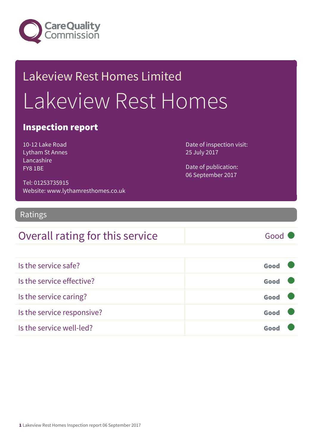

## Lakeview Rest Homes Limited Lakeview Rest Homes

#### Inspection report

10-12 Lake Road Lytham St Annes Lancashire FY8 1BE

Date of inspection visit: 25 July 2017

Date of publication: 06 September 2017

Tel: 01253735915 Website: www.lythamresthomes.co.uk

#### Ratings

### Overall rating for this service Good

| Is the service safe?       | Good |  |
|----------------------------|------|--|
| Is the service effective?  | Good |  |
| Is the service caring?     | Good |  |
| Is the service responsive? | Good |  |
| Is the service well-led?   | Goo  |  |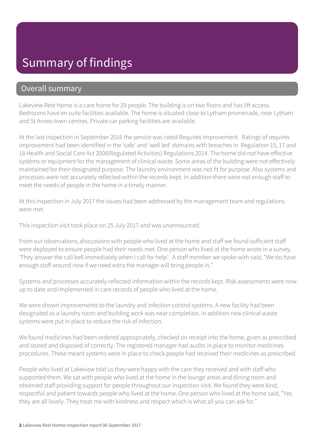## Summary of findings

#### Overall summary

Lakeview Rest Home is a care home for 29 people. The building is on two floors and has lift access. Bedrooms have en suite facilities available. The home is situated close to Lytham promenade, near Lytham and St Annes town centres. Private car parking facilities are available.

At the last inspection in September 2016 the service was rated Requires Improvement. Ratings of requires improvement had been identified in the 'safe' and 'well led' domains with breaches in Regulation 15, 17 and 18 Health and Social Care Act 2008(Regulated Activities) Regulations 2014. The home did not have effective systems or equipment for the management of clinical waste. Some areas of the building were not effectively maintained for their designated purpose. The laundry environment was not fit for purpose. Also systems and processes were not accurately reflected within the records kept. In addition there were not enough staff to meet the needs of people in the home in a timely manner.

At this inspection in July 2017 the issues had been addressed by the management team and regulations were met.

This inspection visit took place on 25 July 2017 and was unannounced.

From our observations, discussions with people who lived at the home and staff we found sufficient staff were deployed to ensure people had their needs met. One person who lived at the home wrote in a survey, 'They answer the call bell immediately when I call for help'. A staff member we spoke with said, "We do have enough staff around now if we need extra the manager will bring people in."

Systems and processes accurately reflected information within the records kept. Risk assessments were now up to date and implemented in care records of people who lived at the home.

We were shown improvements to the laundry and infection control systems. A new facility had been designated as a laundry room and building work was near completion. In addition new clinical waste systems were put in place to reduce the risk of infection.

We found medicines had been ordered appropriately, checked on receipt into the home, given as prescribed and stored and disposed of correctly. The registered manager had audits in place to monitor medicines procedures. These meant systems were in place to check people had received their medicines as prescribed.

People who lived at Lakeview told us they were happy with the care they received and with staff who supported them. We sat with people who lived at the home in the lounge areas and dining room and observed staff providing support for people throughout our inspection visit. We found they were kind, respectful and patient towards people who lived at the home. One person who lived at the home said, "Yes they are all lovely. They treat me with kindness and respect which is what all you can ask for."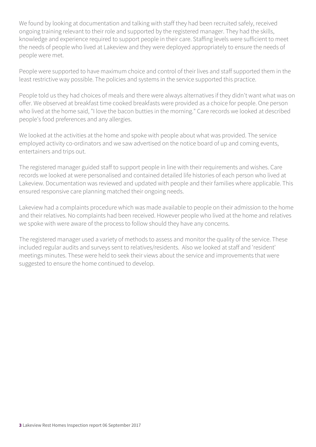We found by looking at documentation and talking with staff they had been recruited safely, received ongoing training relevant to their role and supported by the registered manager. They had the skills, knowledge and experience required to support people in their care. Staffing levels were sufficient to meet the needs of people who lived at Lakeview and they were deployed appropriately to ensure the needs of people were met.

People were supported to have maximum choice and control of their lives and staff supported them in the least restrictive way possible. The policies and systems in the service supported this practice.

People told us they had choices of meals and there were always alternatives if they didn't want what was on offer. We observed at breakfast time cooked breakfasts were provided as a choice for people. One person who lived at the home said, "I love the bacon butties in the morning." Care records we looked at described people's food preferences and any allergies.

We looked at the activities at the home and spoke with people about what was provided. The service employed activity co-ordinators and we saw advertised on the notice board of up and coming events, entertainers and trips out.

The registered manager guided staff to support people in line with their requirements and wishes. Care records we looked at were personalised and contained detailed life histories of each person who lived at Lakeview. Documentation was reviewed and updated with people and their families where applicable. This ensured responsive care planning matched their ongoing needs.

Lakeview had a complaints procedure which was made available to people on their admission to the home and their relatives. No complaints had been received. However people who lived at the home and relatives we spoke with were aware of the process to follow should they have any concerns.

The registered manager used a variety of methods to assess and monitor the quality of the service. These included regular audits and surveys sent to relatives/residents. Also we looked at staff and 'resident' meetings minutes. These were held to seek their views about the service and improvements that were suggested to ensure the home continued to develop.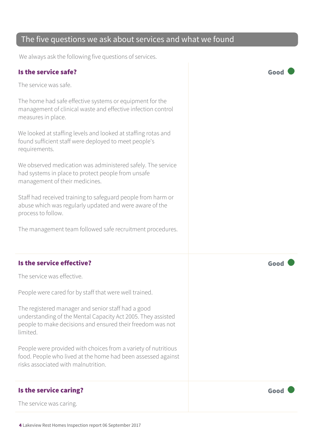#### The five questions we ask about services and what we found

We always ask the following five questions of services.

#### Is the service safe? Good

The service was safe.

The home had safe effective systems or equipment for the management of clinical waste and effective infection control measures in place.

We looked at staffing levels and looked at staffing rotas and found sufficient staff were deployed to meet people's requirements.

We observed medication was administered safely. The service had systems in place to protect people from unsafe management of their medicines.

Staff had received training to safeguard people from harm or abuse which was regularly updated and were aware of the process to follow.

The management team followed safe recruitment procedures.

#### Is the service effective? The service effective?

The service was effective.

People were cared for by staff that were well trained.

The registered manager and senior staff had a good understanding of the Mental Capacity Act 2005. They assisted people to make decisions and ensured their freedom was not limited.

People were provided with choices from a variety of nutritious food. People who lived at the home had been assessed against risks associated with malnutrition.

#### Is the service caring? The service caring of the service caring  $\sim$  Good

The service was caring.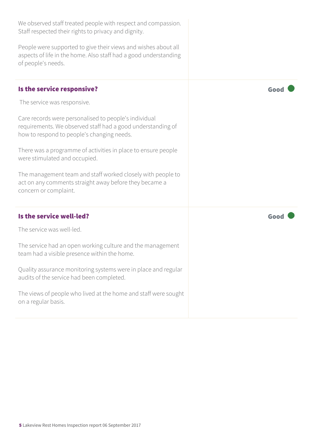| We observed staff treated people with respect and compassion.<br>Staff respected their rights to privacy and dignity.                                              |      |
|--------------------------------------------------------------------------------------------------------------------------------------------------------------------|------|
| People were supported to give their views and wishes about all<br>aspects of life in the home. Also staff had a good understanding<br>of people's needs.           |      |
| Is the service responsive?                                                                                                                                         | Good |
| The service was responsive.                                                                                                                                        |      |
| Care records were personalised to people's individual<br>requirements. We observed staff had a good understanding of<br>how to respond to people's changing needs. |      |
| There was a programme of activities in place to ensure people<br>were stimulated and occupied.                                                                     |      |
| The management team and staff worked closely with people to<br>act on any comments straight away before they became a<br>concern or complaint.                     |      |
| Is the service well-led?                                                                                                                                           | Good |
| The service was well-led.                                                                                                                                          |      |
| The service had an open working culture and the management<br>team had a visible presence within the home.                                                         |      |
| Quality assurance monitoring systems were in place and regular<br>audits of the service had been completed.                                                        |      |
| The views of people who lived at the home and staff were sought<br>on a regular basis.                                                                             |      |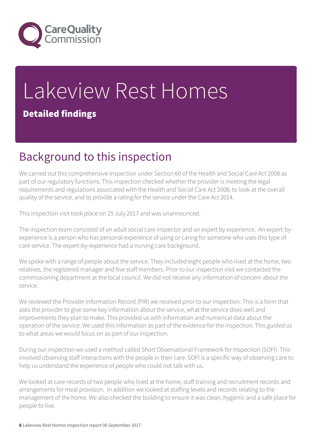

# Lakeview Rest Homes

#### Detailed findings

## Background to this inspection

We carried out this comprehensive inspection under Section 60 of the Health and Social Care Act 2008 as part of our regulatory functions. This inspection checked whether the provider is meeting the legal requirements and regulations associated with the Health and Social Care Act 2008, to look at the overall quality of the service, and to provide a rating for the service under the Care Act 2014.

This inspection visit took place on 25 July 2017 and was unannounced.

The inspection team consisted of an adult social care inspector and an expert by experience. An expert-byexperience is a person who has personal experience of using or caring for someone who uses this type of care service. The expert-by-experience had a nursing care background.

We spoke with a range of people about the service. They included eight people who lived at the home, two relatives, the registered manager and five staff members. Prior to our inspection visit we contacted the commissioning department at the local council. We did not receive any information of concern about the service.

We reviewed the Provider Information Record (PIR) we received prior to our inspection. This is a form that asks the provider to give some key information about the service, what the service does well and improvements they plan to make. This provided us with information and numerical data about the operation of the service. We used this information as part of the evidence for the inspection. This guided us to what areas we would focus on as part of our inspection.

During our inspection we used a method called Short Observational Framework for Inspection (SOFI). This involved observing staff interactions with the people in their care. SOFI is a specific way of observing care to help us understand the experience of people who could not talk with us.

We looked at care records of two people who lived at the home, staff training and recruitment records and arrangements for meal provision. In addition we looked at staffing levels and records relating to the management of the home. We also checked the building to ensure it was clean, hygienic and a safe place for people to live.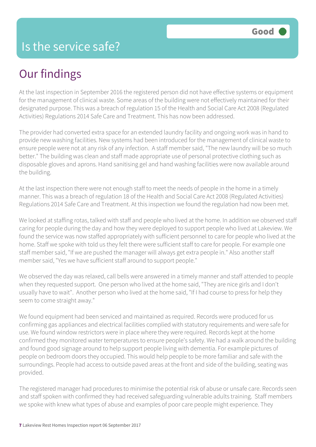## Our findings

At the last inspection in September 2016 the registered person did not have effective systems or equipment for the management of clinical waste. Some areas of the building were not effectively maintained for their designated purpose. This was a breach of regulation 15 of the Health and Social Care Act 2008 (Regulated Activities) Regulations 2014 Safe Care and Treatment. This has now been addressed.

The provider had converted extra space for an extended laundry facility and ongoing work was in hand to provide new washing facilities. New systems had been introduced for the management of clinical waste to ensure people were not at any risk of any infection. A staff member said, "The new laundry will be so much better." The building was clean and staff made appropriate use of personal protective clothing such as disposable gloves and aprons. Hand sanitising gel and hand washing facilities were now available around the building.

At the last inspection there were not enough staff to meet the needs of people in the home in a timely manner. This was a breach of regulation 18 of the Health and Social Care Act 2008 (Regulated Activities) Regulations 2014 Safe Care and Treatment. At this inspection we found the regulation had now been met.

We looked at staffing rotas, talked with staff and people who lived at the home. In addition we observed staff caring for people during the day and how they were deployed to support people who lived at Lakeview. We found the service was now staffed appropriately with sufficient personnel to care for people who lived at the home. Staff we spoke with told us they felt there were sufficient staff to care for people. For example one staff member said, "If we are pushed the manager will always get extra people in." Also another staff member said, "Yes we have sufficient staff around to support people."

We observed the day was relaxed, call bells were answered in a timely manner and staff attended to people when they requested support. One person who lived at the home said, "They are nice girls and I don't usually have to wait". Another person who lived at the home said, "If I had course to press for help they seem to come straight away."

We found equipment had been serviced and maintained as required. Records were produced for us confirming gas appliances and electrical facilities complied with statutory requirements and were safe for use. We found window restrictors were in place where they were required. Records kept at the home confirmed they monitored water temperatures to ensure people's safety. We had a walk around the building and found good signage around to help support people living with dementia. For example pictures of people on bedroom doors they occupied. This would help people to be more familiar and safe with the surroundings. People had access to outside paved areas at the front and side of the building, seating was provided.

The registered manager had procedures to minimise the potential risk of abuse or unsafe care. Records seen and staff spoken with confirmed they had received safeguarding vulnerable adults training. Staff members we spoke with knew what types of abuse and examples of poor care people might experience. They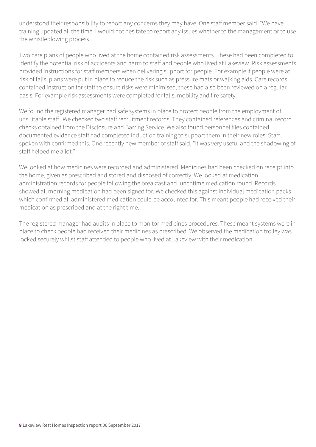understood their responsibility to report any concerns they may have. One staff member said, "We have training updated all the time. I would not hesitate to report any issues whether to the management or to use the whistleblowing process."

Two care plans of people who lived at the home contained risk assessments. These had been completed to identify the potential risk of accidents and harm to staff and people who lived at Lakeview. Risk assessments provided instructions for staff members when delivering support for people. For example if people were at risk of falls, plans were put in place to reduce the risk such as pressure mats or walking aids. Care records contained instruction for staff to ensure risks were minimised, these had also been reviewed on a regular basis. For example risk assessments were completed for falls, mobility and fire safety.

We found the registered manager had safe systems in place to protect people from the employment of unsuitable staff. We checked two staff recruitment records. They contained references and criminal record checks obtained from the Disclosure and Barring Service. We also found personnel files contained documented evidence staff had completed induction training to support them in their new roles. Staff spoken with confirmed this. One recently new member of staff said, "It was very useful and the shadowing of staff helped me a lot."

We looked at how medicines were recorded and administered. Medicines had been checked on receipt into the home, given as prescribed and stored and disposed of correctly. We looked at medication administration records for people following the breakfast and lunchtime medication round. Records showed all morning medication had been signed for. We checked this against individual medication packs which confirmed all administered medication could be accounted for. This meant people had received their medication as prescribed and at the right time.

The registered manager had audits in place to monitor medicines procedures. These meant systems were in place to check people had received their medicines as prescribed. We observed the medication trolley was locked securely whilst staff attended to people who lived at Lakeview with their medication.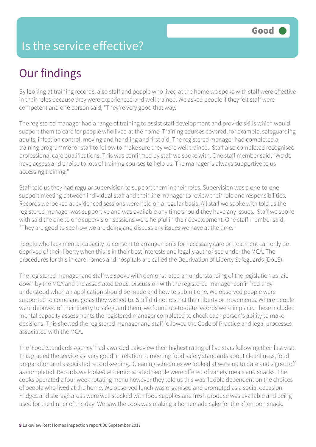## Is the service effective?

## Our findings

By looking at training records, also staff and people who lived at the home we spoke with staff were effective in their roles because they were experienced and well trained. We asked people if they felt staff were competent and one person said, "They're very good that way."

The registered manager had a range of training to assist staff development and provide skills which would support them to care for people who lived at the home. Training courses covered, for example, safeguarding adults, infection control, moving and handling and first aid. The registered manager had completed a training programme for staff to follow to make sure they were well trained. Staff also completed recognised professional care qualifications. This was confirmed by staff we spoke with. One staff member said, "We do have access and choice to lots of training courses to help us. The manager is always supportive to us accessing training."

Staff told us they had regular supervision to support them in their roles. Supervision was a one-to-one support meeting between individual staff and their line manager to review their role and responsibilities. Records we looked at evidenced sessions were held on a regular basis. All staff we spoke with told us the registered manager was supportive and was available any time should they have any issues. Staff we spoke with said the one to one supervision sessions were helpful in their development. One staff member said, "They are good to see how we are doing and discuss any issues we have at the time."

People who lack mental capacity to consent to arrangements for necessary care or treatment can only be deprived of their liberty when this is in their best interests and legally authorised under the MCA. The procedures for this in care homes and hospitals are called the Deprivation of Liberty Safeguards (DoLS).

The registered manager and staff we spoke with demonstrated an understanding of the legislation as laid down by the MCA and the associated DoLS. Discussion with the registered manager confirmed they understood when an application should be made and how to submit one. We observed people were supported to come and go as they wished to. Staff did not restrict their liberty or movements. Where people were deprived of their liberty to safeguard them, we found up-to-date records were in place. These included mental capacity assessments the registered manager completed to check each person's ability to make decisions. This showed the registered manager and staff followed the Code of Practice and legal processes associated with the MCA.

The 'Food Standards Agency' had awarded Lakeview their highest rating of five stars following their last visit. This graded the service as 'very good' in relation to meeting food safety standards about cleanliness, food preparation and associated recordkeeping. Cleaning schedules we looked at were up to date and signed off as completed. Records we looked at demonstrated people were offered of variety meals and snacks. The cooks operated a four week rotating menu however they told us this was flexible dependent on the choices of people who lived at the home. We observed lunch was organised and promoted as a social occasion. Fridges and storage areas were well stocked with food supplies and fresh produce was available and being used for the dinner of the day. We saw the cook was making a homemade cake for the afternoon snack.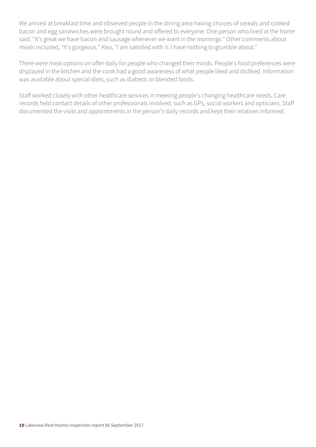We arrived at breakfast time and observed people in the dining area having choices of cereals and cooked bacon and egg sandwiches were brought round and offered to everyone. One person who lived at the home said, "It's great we have bacon and sausage whenever we want in the mornings." Other comments about meals included, "It's gorgeous." Also, "I am satisfied with it. I have nothing to grumble about."

There were meal options on offer daily for people who changed their minds. People's food preferences were displayed in the kitchen and the cook had a good awareness of what people liked and disliked. Information was available about special diets, such as diabetic or blended foods.

Staff worked closely with other healthcare services in meeting people's changing healthcare needs. Care records held contact details of other professionals involved, such as GPs, social workers and opticians. Staff documented the visits and appointments in the person's daily records and kept their relatives informed.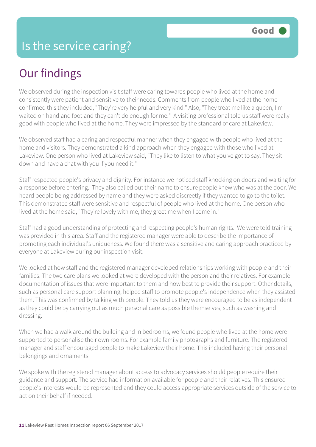## Our findings

We observed during the inspection visit staff were caring towards people who lived at the home and consistently were patient and sensitive to their needs. Comments from people who lived at the home confirmed this they included, "They're very helpful and very kind." Also, "They treat me like a queen, I'm waited on hand and foot and they can't do enough for me." A visiting professional told us staff were really good with people who lived at the home. They were impressed by the standard of care at Lakeview.

We observed staff had a caring and respectful manner when they engaged with people who lived at the home and visitors. They demonstrated a kind approach when they engaged with those who lived at Lakeview. One person who lived at Lakeview said, "They like to listen to what you've got to say. They sit down and have a chat with you if you need it."

Staff respected people's privacy and dignity. For instance we noticed staff knocking on doors and waiting for a response before entering. They also called out their name to ensure people knew who was at the door. We heard people being addressed by name and they were asked discreetly if they wanted to go to the toilet. This demonstrated staff were sensitive and respectful of people who lived at the home. One person who lived at the home said, "They're lovely with me, they greet me when I come in."

Staff had a good understanding of protecting and respecting people's human rights. We were told training was provided in this area. Staff and the registered manager were able to describe the importance of promoting each individual's uniqueness. We found there was a sensitive and caring approach practiced by everyone at Lakeview during our inspection visit.

We looked at how staff and the registered manager developed relationships working with people and their families. The two care plans we looked at were developed with the person and their relatives. For example documentation of issues that were important to them and how best to provide their support. Other details, such as personal care support planning, helped staff to promote people's independence when they assisted them. This was confirmed by talking with people. They told us they were encouraged to be as independent as they could be by carrying out as much personal care as possible themselves, such as washing and dressing.

When we had a walk around the building and in bedrooms, we found people who lived at the home were supported to personalise their own rooms. For example family photographs and furniture. The registered manager and staff encouraged people to make Lakeview their home. This included having their personal belongings and ornaments.

We spoke with the registered manager about access to advocacy services should people require their guidance and support. The service had information available for people and their relatives. This ensured people's interests would be represented and they could access appropriate services outside of the service to act on their behalf if needed.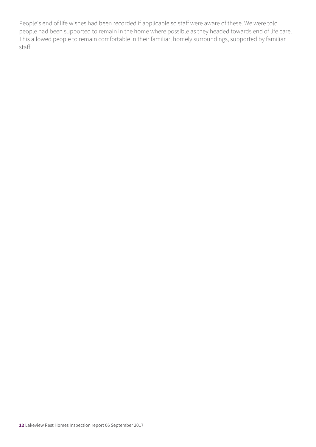People's end of life wishes had been recorded if applicable so staff were aware of these. We were told people had been supported to remain in the home where possible as they headed towards end of life care. This allowed people to remain comfortable in their familiar, homely surroundings, supported by familiar staff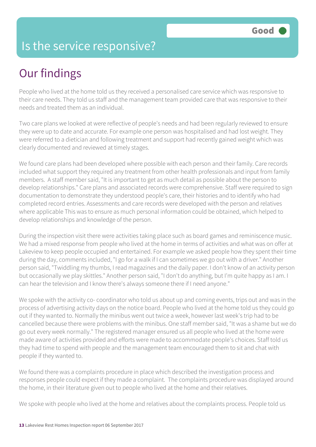## Is the service responsive?

## Our findings

People who lived at the home told us they received a personalised care service which was responsive to their care needs. They told us staff and the management team provided care that was responsive to their needs and treated them as an individual.

Two care plans we looked at were reflective of people's needs and had been regularly reviewed to ensure they were up to date and accurate. For example one person was hospitalised and had lost weight. They were referred to a dietician and following treatment and support had recently gained weight which was clearly documented and reviewed at timely stages.

We found care plans had been developed where possible with each person and their family. Care records included what support they required any treatment from other health professionals and input from family members. A staff member said, "It is important to get as much detail as possible about the person to develop relationships." Care plans and associated records were comprehensive. Staff were required to sign documentation to demonstrate they understood people's care, their histories and to identify who had completed record entries. Assessments and care records were developed with the person and relatives where applicable This was to ensure as much personal information could be obtained, which helped to develop relationships and knowledge of the person.

During the inspection visit there were activities taking place such as board games and reminiscence music. We had a mixed response from people who lived at the home in terms of activities and what was on offer at Lakeview to keep people occupied and entertained. For example we asked people how they spent their time during the day, comments included, "I go for a walk if I can sometimes we go out with a driver." Another person said, "Twiddling my thumbs, I read magazines and the daily paper. I don't know of an activity person but occasionally we play skittles." Another person said, "I don't do anything, but I'm quite happy as I am. I can hear the television and I know there's always someone there if I need anyone."

We spoke with the activity co- coordinator who told us about up and coming events, trips out and was in the process of advertising activity days on the notice board. People who lived at the home told us they could go out if they wanted to. Normally the minibus went out twice a week, however last week's trip had to be cancelled because there were problems with the minibus. One staff member said, "It was a shame but we do go out every week normally." The registered manager ensured us all people who lived at the home were made aware of activities provided and efforts were made to accommodate people's choices. Staff told us they had time to spend with people and the management team encouraged them to sit and chat with people if they wanted to.

We found there was a complaints procedure in place which described the investigation process and responses people could expect if they made a complaint. The complaints procedure was displayed around the home, in their literature given out to people who lived at the home and their relatives.

We spoke with people who lived at the home and relatives about the complaints process. People told us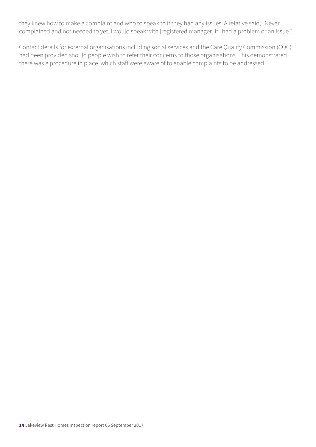they knew how to make a complaint and who to speak to if they had any issues. A relative said, "Never complained and not needed to yet. I would speak with [registered manager] if I had a problem or an issue."

Contact details for external organisations including social services and the Care Quality Commission (CQC) had been provided should people wish to refer their concerns to those organisations. This demonstrated there was a procedure in place, which staff were aware of to enable complaints to be addressed.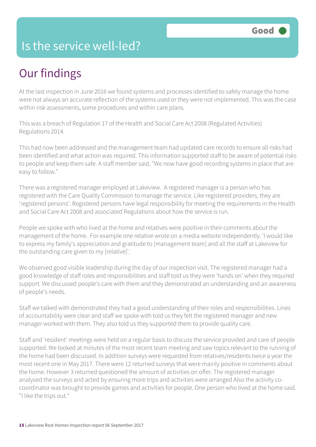## Is the service well-led?

## Our findings

At the last inspection in June 2016 we found systems and processes identified to safely manage the home were not always an accurate reflection of the systems used or they were not implemented. This was the case within risk assessments, some procedures and within care plans.

This was a breach of Regulation 17 of the Health and Social Care Act 2008 (Regulated Activities) Regulations 2014.

This had now been addressed and the management team had updated care records to ensure all risks had been identified and what action was required. This information supported staff to be aware of potential risks to people and keep them safe. A staff member said, "We now have good recording systems in place that are easy to follow."

There was a registered manager employed at Lakeview. A registered manager is a person who has registered with the Care Quality Commission to manage the service. Like registered providers, they are 'registered persons'. Registered persons have legal responsibility for meeting the requirements in the Health and Social Care Act 2008 and associated Regulations about how the service is run.

People we spoke with who lived at the home and relatives were positive in their comments about the management of the home. For example one relative wrote on a media website independently. 'I would like to express my family's appreciation and gratitude to [management team] and all the staff at Lakeview for the outstanding care given to my [relative]'.

We observed good visible leadership during the day of our inspection visit. The registered manager had a good knowledge of staff roles and responsibilities and staff told us they were 'hands on' when they required support. We discussed people's care with them and they demonstrated an understanding and an awareness of people's needs.

Staff we talked with demonstrated they had a good understanding of their roles and responsibilities. Lines of accountability were clear and staff we spoke with told us they felt the registered manager and new manager worked with them. They also told us they supported them to provide quality care.

Staff and 'resident' meetings were held on a regular basis to discuss the service provided and care of people supported. We looked at minutes of the most recent team meeting and saw topics relevant to the running of the home had been discussed. In addition surveys were requested from relatives/residents twice a year the most recent one in May 2017. There were 12 returned surveys that were mainly positive in comments about the home. However 3 returned questioned the amount of activities on offer. The registered manager analysed the surveys and acted by ensuring more trips and activities were arranged Also the activity cocoordinator was brought to provide games and activities for people. One person who lived at the home said. "I like the trips out."